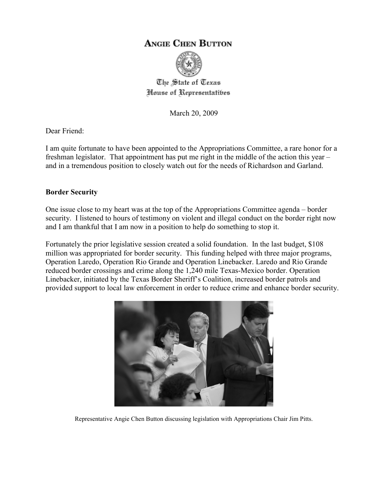# **ANGIE CHEN BUTTON**



The State of Texas House of Representatibes

March 20, 2009

Dear Friend:

I am quite fortunate to have been appointed to the Appropriations Committee, a rare honor for a freshman legislator. That appointment has put me right in the middle of the action this year – and in a tremendous position to closely watch out for the needs of Richardson and Garland.

### **Border Security**

One issue close to my heart was at the top of the Appropriations Committee agenda – border security. I listened to hours of testimony on violent and illegal conduct on the border right now and I am thankful that I am now in a position to help do something to stop it.

Fortunately the prior legislative session created a solid foundation. In the last budget, \$108 million was appropriated for border security. This funding helped with three major programs, Operation Laredo, Operation Rio Grande and Operation Linebacker. Laredo and Rio Grande reduced border crossings and crime along the 1,240 mile Texas-Mexico border. Operation Linebacker, initiated by the Texas Border Sheriff's Coalition, increased border patrols and provided support to local law enforcement in order to reduce crime and enhance border security.



Representative Angie Chen Button discussing legislation with Appropriations Chair Jim Pitts.